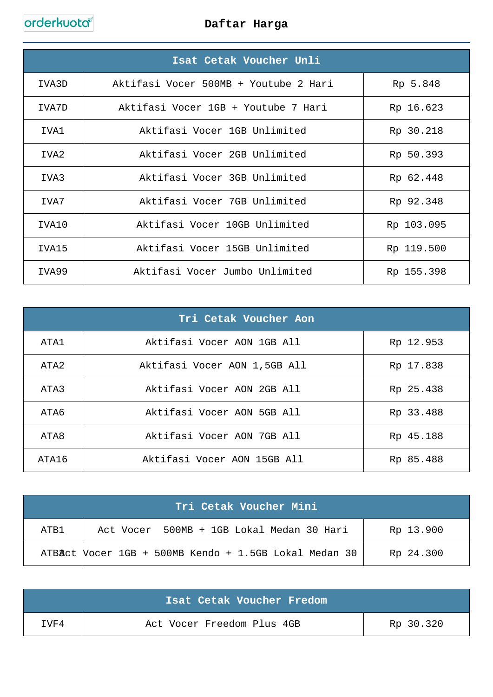|                  | Isat Cetak Voucher Unli               |            |
|------------------|---------------------------------------|------------|
| IVA3D            | Aktifasi Vocer 500MB + Youtube 2 Hari | Rp 5.848   |
| TVA7D            | Aktifasi Vocer 1GB + Youtube 7 Hari   | Rp 16.623  |
| TVA1             | Aktifasi Vocer 1GB Unlimited          | Rp 30.218  |
| TVA <sub>2</sub> | Aktifasi Vocer 2GB Unlimited          | Rp 50.393  |
| TVA3             | Aktifasi Vocer 3GB Unlimited          | Rp 62.448  |
| TVA7             | Aktifasi Vocer 7GB Unlimited          | Rp 92.348  |
| IVA10            | Aktifasi Vocer 10GB Unlimited         | Rp 103.095 |
| TVA15            | Aktifasi Vocer 15GB Unlimited         | Rp 119.500 |
| IVA99            | Aktifasi Vocer Jumbo Unlimited        | Rp 155.398 |

| Tri Cetak Voucher Aon |                              |           |
|-----------------------|------------------------------|-----------|
| ATA1                  | Aktifasi Vocer AON 1GB All   | Rp 12.953 |
| ATA2                  | Aktifasi Vocer AON 1,5GB All | Rp 17.838 |
| ATA3                  | Aktifasi Vocer AON 2GB All   | Rp 25.438 |
| ATA6                  | Aktifasi Vocer AON 5GB All   | Rp 33.488 |
| ATA8                  | Aktifasi Vocer AON 7GB All   | Rp 45.188 |
| ATA16                 | Aktifasi Vocer AON 15GB All  | Rp 85.488 |

| Tri Cetak Voucher Mini |                                                       |           |  |
|------------------------|-------------------------------------------------------|-----------|--|
| ATB1                   | Act Vocer 500MB + 1GB Lokal Medan 30 Hari             | Rp 13.900 |  |
|                        | ATBAct Vocer 1GB + 500MB Kendo + 1.5GB Lokal Medan 30 | Rp 24.300 |  |

|      | Isat Cetak Voucher Fredom  |           |
|------|----------------------------|-----------|
| TVF4 | Act Vocer Freedom Plus 4GB | Rp 30.320 |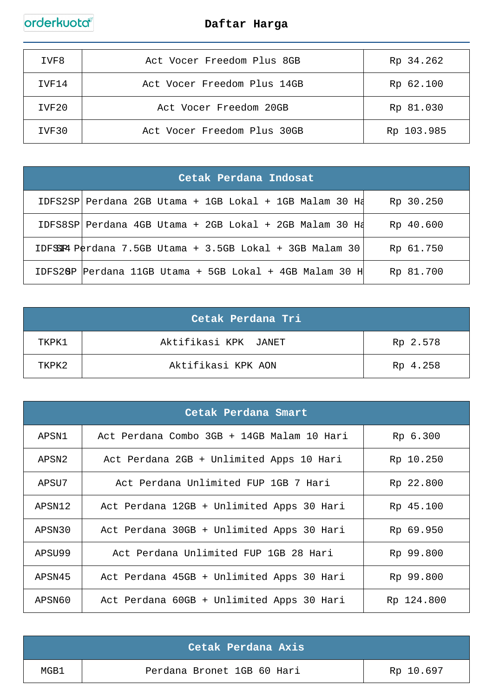

| IVF8  | Act Vocer Freedom Plus 8GB  | Rp 34.262  |
|-------|-----------------------------|------------|
| IVF14 | Act Vocer Freedom Plus 14GB | Rp 62.100  |
| IVF20 | Act Vocer Freedom 20GB      | Rp 81.030  |
| IVF30 | Act Vocer Freedom Plus 30GB | Rp 103.985 |

| Cetak Perdana Indosat |                                                                                |           |
|-----------------------|--------------------------------------------------------------------------------|-----------|
|                       | IDFS2SP Perdana 2GB Utama + 1GB Lokal + 1GB Malam 30 Hd                        | Rp 30.250 |
|                       | IDFS8SP Perdana 4GB Utama + 2GB Lokal + 2GB Malam 30 Hd                        | Rp 40.600 |
|                       | IDF $SSI$ P $\theta$ P $\theta$ rdana 7.5GB Utama + 3.5GB Lokal + 3GB Malam 30 | Rp 61.750 |
|                       | IDFS28P Perdana 11GB Utama + 5GB Lokal + 4GB Malam 30 H                        | Rp 81.700 |

|       | Cetak Perdana Tri'   |          |
|-------|----------------------|----------|
| TKPK1 | Aktifikasi KPK JANET | Rp 2.578 |
| TKPK2 | Aktifikasi KPK AON   | Rp 4.258 |

| Cetak Perdana Smart |                                            |            |
|---------------------|--------------------------------------------|------------|
| APSN1               | Act Perdana Combo 3GB + 14GB Malam 10 Hari | Rp 6.300   |
| APSN2               | Act Perdana 2GB + Unlimited Apps 10 Hari   | Rp 10.250  |
| APSU7               | Act Perdana Unlimited FUP 1GB 7 Hari       | Rp 22.800  |
| APSN12              | Act Perdana 12GB + Unlimited Apps 30 Hari  | Rp 45.100  |
| APSN30              | Act Perdana 30GB + Unlimited Apps 30 Hari  | Rp 69.950  |
| APSU99              | Act Perdana Unlimited FUP 1GB 28 Hari      | Rp 99.800  |
| APSN45              | Act Perdana 45GB + Unlimited Apps 30 Hari  | Rp 99.800  |
| APSN60              | Act Perdana 60GB + Unlimited Apps 30 Hari  | Rp 124.800 |

|      | Cetak Perdana Axis         |           |
|------|----------------------------|-----------|
| MGB1 | Perdana Bronet 1GB 60 Hari | Rp 10.697 |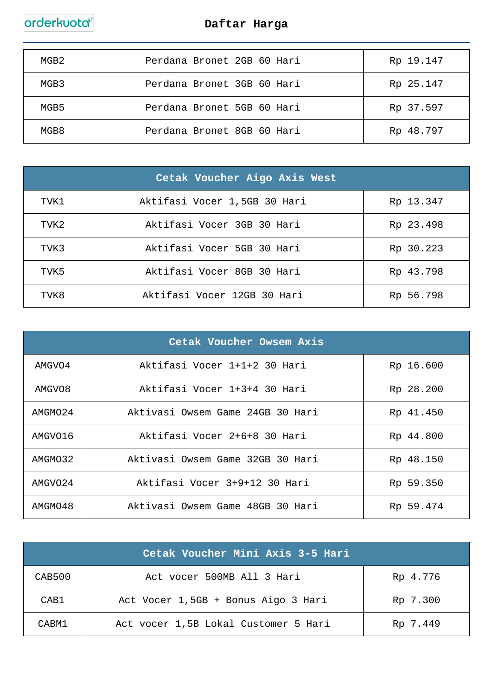

| MGB2 | Perdana Bronet 2GB 60 Hari | Rp 19.147 |
|------|----------------------------|-----------|
| MGB3 | Perdana Bronet 3GB 60 Hari | Rp 25.147 |
| MGB5 | Perdana Bronet 5GB 60 Hari | Rp 37.597 |
| MGB8 | Perdana Bronet 8GB 60 Hari | Rp 48.797 |

| Cetak Voucher Aigo Axis West |                              |           |
|------------------------------|------------------------------|-----------|
| TVK1                         | Aktifasi Vocer 1,5GB 30 Hari | Rp 13.347 |
| TVK2                         | Aktifasi Vocer 3GB 30 Hari   | Rp 23.498 |
| TVK3                         | Aktifasi Vocer 5GB 30 Hari   | Rp 30.223 |
| TVK5                         | Aktifasi Vocer 8GB 30 Hari   | Rp 43.798 |
| TVK8                         | Aktifasi Vocer 12GB 30 Hari  | Rp 56.798 |

| Cetak Voucher Owsem Axis |                                  |           |
|--------------------------|----------------------------------|-----------|
| AMGVO4                   | Aktifasi Vocer 1+1+2 30 Hari     | Rp 16.600 |
| AMGVO8                   | Aktifasi Vocer 1+3+4 30 Hari     | Rp 28.200 |
| AMGM024                  | Aktivasi Owsem Game 24GB 30 Hari | Rp 41.450 |
| AMGVO16                  | Aktifasi Vocer 2+6+8 30 Hari     | Rp 44.800 |
| AMGM032                  | Aktivasi Owsem Game 32GB 30 Hari | Rp 48.150 |
| AMGVO24                  | Aktifasi Vocer 3+9+12 30 Hari    | Rp 59.350 |
| AMGMO48                  | Aktivasi Owsem Game 48GB 30 Hari | Rp 59.474 |

|        | Cetak Voucher Mini Axis 3-5 Hari     |          |
|--------|--------------------------------------|----------|
| CAB500 | Act vocer 500MB All 3 Hari           | Rp 4.776 |
| CAB1   | Act Vocer 1,5GB + Bonus Aigo 3 Hari  | Rp 7.300 |
| CABM1  | Act vocer 1,5B Lokal Customer 5 Hari | Rp 7.449 |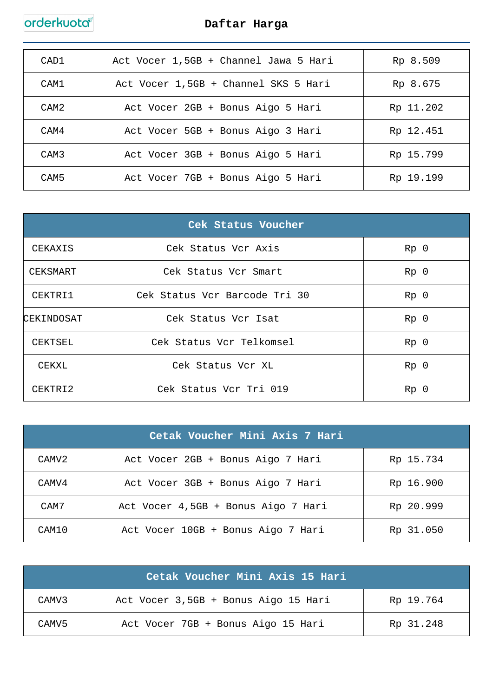| CAD1 | Act Vocer 1,5GB + Channel Jawa 5 Hari | Rp 8.509  |
|------|---------------------------------------|-----------|
| CAM1 | Act Vocer 1,5GB + Channel SKS 5 Hari  | Rp 8.675  |
| CAM2 | Act Vocer 2GB + Bonus Aigo 5 Hari     | Rp 11.202 |
| CAM4 | Act Vocer 5GB + Bonus Aigo 3 Hari     | Rp 12.451 |
| CAM3 | Act Vocer 3GB + Bonus Aigo 5 Hari     | Rp 15.799 |
| CAM5 | Act Vocer 7GB + Bonus Aigo 5 Hari     | Rp 19.199 |

| Cek Status Voucher |                               |                 |
|--------------------|-------------------------------|-----------------|
| CEKAXIS            | Cek Status Vcr Axis           | Rp <sub>0</sub> |
| CEKSMART           | Cek Status Vcr Smart          | Rp <sub>0</sub> |
| CEKTRI1            | Cek Status Vcr Barcode Tri 30 | Rp <sub>0</sub> |
| CEKINDOSAT         | Cek Status Vcr Isat           | Rp <sub>0</sub> |
| CEKTSEL            | Cek Status Vcr Telkomsel      | Rp <sub>0</sub> |
| CEKXL              | Cek Status Vcr XL             | Rp <sub>0</sub> |
| CEKTRI2            | Cek Status Vcr Tri 019        | Rp <sub>0</sub> |

|                   | Cetak Voucher Mini Axis 7 Hari      |           |
|-------------------|-------------------------------------|-----------|
| CAMV <sub>2</sub> | Act Vocer 2GB + Bonus Aigo 7 Hari   | Rp 15.734 |
| CAMV4             | Act Vocer 3GB + Bonus Aigo 7 Hari   | Rp 16.900 |
| CAM7              | Act Vocer 4,5GB + Bonus Aigo 7 Hari | Rp 20.999 |
| CAM10             | Act Vocer 10GB + Bonus Aigo 7 Hari  | Rp 31.050 |

|                   | Cetak Voucher Mini Axis 15 Hari      |           |
|-------------------|--------------------------------------|-----------|
| CAMV <sub>3</sub> | Act Vocer 3,5GB + Bonus Aigo 15 Hari | Rp 19.764 |
| CAMV <sub>5</sub> | Act Vocer 7GB + Bonus Aigo 15 Hari   | Rp 31.248 |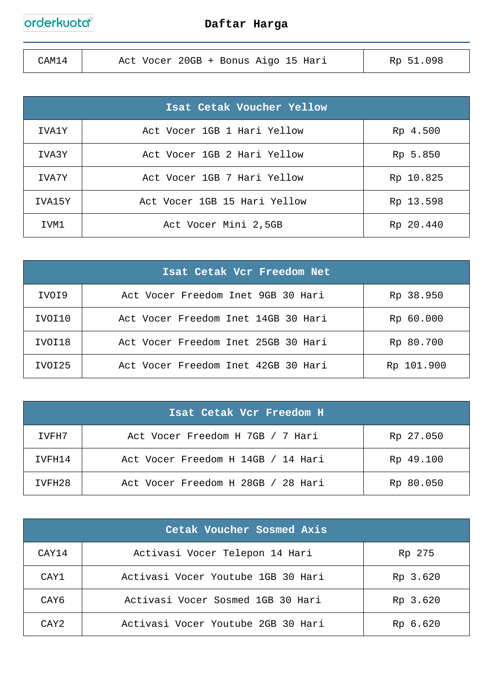| CAM14 | Act Vocer 20GB + Bonus Aigo 15 Hari | Rp 51.098 |
|-------|-------------------------------------|-----------|
|       |                                     |           |

|        | Isat Cetak Voucher Yellow    |           |
|--------|------------------------------|-----------|
| IVA1Y  | Act Vocer 1GB 1 Hari Yellow  | Rp 4.500  |
| IVA3Y  | Act Vocer 1GB 2 Hari Yellow  | Rp 5.850  |
| IVA7Y  | Act Vocer 1GB 7 Hari Yellow  | Rp 10.825 |
| IVA15Y | Act Vocer 1GB 15 Hari Yellow | Rp 13.598 |
| IVM1   | Act Vocer Mini 2,5GB         | Rp 20.440 |

| Isat Cetak Vcr Freedom Net |                                     |            |  |
|----------------------------|-------------------------------------|------------|--|
| IVOI9                      | Act Vocer Freedom Inet 9GB 30 Hari  | Rp 38.950  |  |
| IVOI10                     | Act Vocer Freedom Inet 14GB 30 Hari | Rp 60.000  |  |
| IVOI18                     | Act Vocer Freedom Inet 25GB 30 Hari | Rp 80.700  |  |
| IVOI25                     | Act Vocer Freedom Inet 42GB 30 Hari | Rp 101.900 |  |

| Isat Cetak Vcr Freedom H |                                    |           |
|--------------------------|------------------------------------|-----------|
| IVFH7                    | Act Vocer Freedom H 7GB / 7 Hari   | Rp 27.050 |
| TVFH14                   | Act Vocer Freedom H 14GB / 14 Hari | Rp 49.100 |
| IVFH28                   | Act Vocer Freedom H 28GB / 28 Hari | Rp 80.050 |

| Cetak Voucher Sosmed Axis |                                    |          |  |
|---------------------------|------------------------------------|----------|--|
| CAY14                     | Activasi Vocer Telepon 14 Hari     | Rp 275   |  |
| CAY1                      | Activasi Vocer Youtube 1GB 30 Hari | Rp 3.620 |  |
| CAY6                      | Activasi Vocer Sosmed 1GB 30 Hari  | Rp 3.620 |  |
| CAY <sub>2</sub>          | Activasi Vocer Youtube 2GB 30 Hari | Rp 6.620 |  |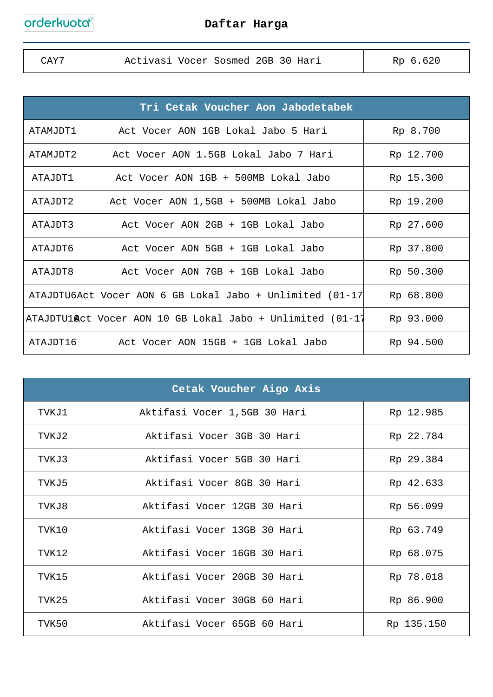| CAY <sup>-</sup> | Activasi Vocer Sosmed 2GB 30 Hari | Rp 6.620 |
|------------------|-----------------------------------|----------|
|                  |                                   |          |

| Tri Cetak Voucher Aon Jabodetabek |                                                                    |           |
|-----------------------------------|--------------------------------------------------------------------|-----------|
| ATAMJDT1                          | Act Vocer AON 1GB Lokal Jabo 5 Hari                                | Rp 8.700  |
| ATAMJDT2                          | Act Vocer AON 1.5GB Lokal Jabo 7 Hari                              | Rp 12.700 |
| ATAJDT1                           | Act Vocer AON 1GB + 500MB Lokal Jabo                               | Rp 15.300 |
| ATAJDT2                           | Act Vocer AON 1,5GB + 500MB Lokal Jabo                             | Rp 19.200 |
| ATAJDT3                           | Act Vocer AON 2GB + 1GB Lokal Jabo                                 | Rp 27.600 |
| ATAJDT6                           | Act Vocer AON 5GB + 1GB Lokal Jabo                                 | Rp 37.800 |
| ATAJDT8                           | Act Vocer AON 7GB + 1GB Lokal Jabo                                 | Rp 50.300 |
|                                   | ATAJDTU6Act Vocer AON 6 GB Lokal Jabo + Unlimited (01-17)          | Rp 68.800 |
|                                   | ATAJDTU1 <b>A</b> ¢t Vocer AON 10 GB Lokal Jabo + Unlimited (01-17 | Rp 93.000 |
| ATAJDT16                          | Act Vocer AON 15GB + 1GB Lokal Jabo                                | Rp 94.500 |

|       | Cetak Voucher Aigo Axis      |            |
|-------|------------------------------|------------|
| TVKJ1 | Aktifasi Vocer 1,5GB 30 Hari | Rp 12.985  |
| TVKJ2 | Aktifasi Vocer 3GB 30 Hari   | Rp 22.784  |
| TVKJ3 | Aktifasi Vocer 5GB 30 Hari   | Rp 29.384  |
| TVKJ5 | Aktifasi Vocer 8GB 30 Hari   | Rp 42.633  |
| TVKJ8 | Aktifasi Vocer 12GB 30 Hari  | Rp 56.099  |
| TVK10 | Aktifasi Vocer 13GB 30 Hari  | Rp 63.749  |
| TVK12 | Aktifasi Vocer 16GB 30 Hari  | Rp 68.075  |
| TVK15 | Aktifasi Vocer 20GB 30 Hari  | Rp 78.018  |
| TVK25 | Aktifasi Vocer 30GB 60 Hari  | Rp 86.900  |
| TVK50 | Aktifasi Vocer 65GB 60 Hari  | Rp 135.150 |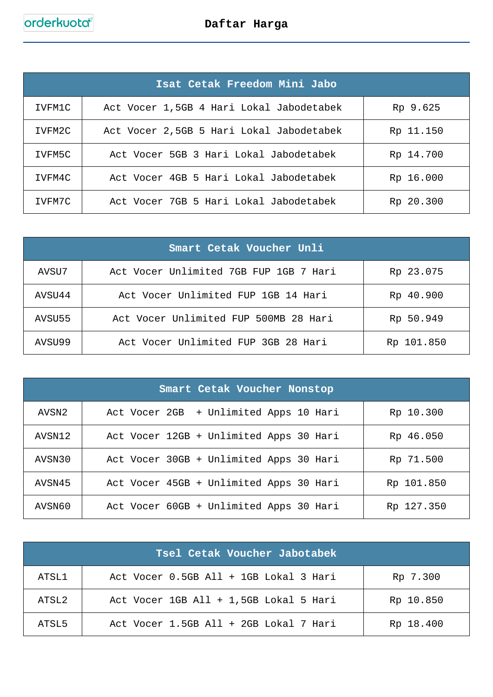|        | Isat Cetak Freedom Mini Jabo             |           |
|--------|------------------------------------------|-----------|
| IVFM1C | Act Vocer 1,5GB 4 Hari Lokal Jabodetabek | Rp 9.625  |
| IVFM2C | Act Vocer 2,5GB 5 Hari Lokal Jabodetabek | Rp 11.150 |
| IVFM5C | Act Vocer 5GB 3 Hari Lokal Jabodetabek   | Rp 14.700 |
| IVFM4C | Act Vocer 4GB 5 Hari Lokal Jabodetabek   | Rp 16.000 |
| TVFM7C | Act Vocer 7GB 5 Hari Lokal Jabodetabek   | Rp 20.300 |

| Smart Cetak Voucher Unli |                                        |            |  |  |  |
|--------------------------|----------------------------------------|------------|--|--|--|
| AVSU7                    | Act Vocer Unlimited 7GB FUP 1GB 7 Hari | Rp 23.075  |  |  |  |
| AVSU44                   | Act Vocer Unlimited FUP 1GB 14 Hari    | Rp 40.900  |  |  |  |
| AVSU55                   | Act Vocer Unlimited FUP 500MB 28 Hari  | Rp 50.949  |  |  |  |
| AVSU99                   | Act Vocer Unlimited FUP 3GB 28 Hari    | Rp 101.850 |  |  |  |

| Smart Cetak Voucher Nonstop |                                         |            |  |  |  |
|-----------------------------|-----------------------------------------|------------|--|--|--|
| AVSN2                       | Act Vocer 2GB + Unlimited Apps 10 Hari  | Rp 10.300  |  |  |  |
| AVSN12                      | Act Vocer 12GB + Unlimited Apps 30 Hari | Rp 46.050  |  |  |  |
| AVSN30                      | Act Vocer 30GB + Unlimited Apps 30 Hari | Rp 71.500  |  |  |  |
| AVSN45                      | Act Vocer 45GB + Unlimited Apps 30 Hari | Rp 101.850 |  |  |  |
| AVSN60                      | Act Vocer 60GB + Unlimited Apps 30 Hari | Rp 127.350 |  |  |  |

| Tsel Cetak Voucher Jabotabek |                                        |           |  |  |  |
|------------------------------|----------------------------------------|-----------|--|--|--|
| ATSL1                        | Act Vocer 0.5GB All + 1GB Lokal 3 Hari | Rp 7.300  |  |  |  |
| ATSL2                        | Act Vocer 1GB All + 1,5GB Lokal 5 Hari | Rp 10.850 |  |  |  |
| ATSL5                        | Act Vocer 1.5GB All + 2GB Lokal 7 Hari | Rp 18.400 |  |  |  |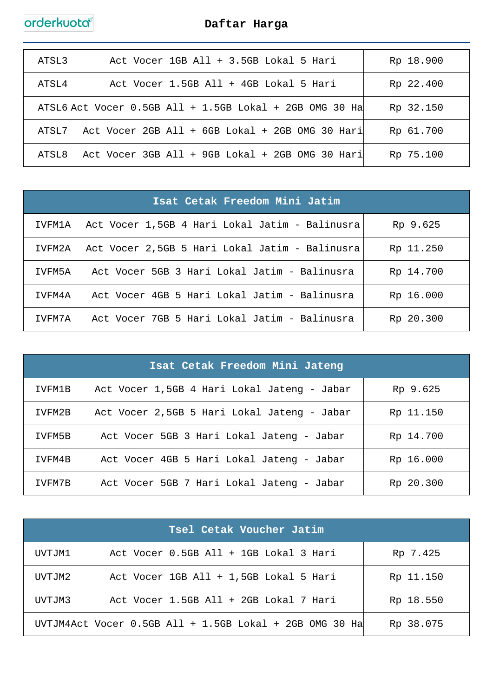| ATSL3 | Act Vocer 1GB All + 3.5GB Lokal 5 Hari                    | Rp 18.900 |
|-------|-----------------------------------------------------------|-----------|
| ATSL4 | Act Vocer 1.5GB All + 4GB Lokal 5 Hari                    | Rp 22.400 |
|       | ATSL6 Adt Vocer $0.5GB$ All + 1.5GB Lokal + 2GB OMG 30 Ha | Rp 32.150 |
| ATSL7 | Act Vocer 2GB All + 6GB Lokal + 2GB OMG 30 Hari           | Rp 61.700 |
| ATSL8 | Act Vocer 3GB All + 9GB Lokal + 2GB OMG 30 Hari           | Rp 75.100 |

| Isat Cetak Freedom Mini Jatim |                                                |           |  |  |
|-------------------------------|------------------------------------------------|-----------|--|--|
| IVFM1A                        | Act Vocer 1,5GB 4 Hari Lokal Jatim - Balinusra | Rp 9.625  |  |  |
| IVFM2A                        | Act Vocer 2,5GB 5 Hari Lokal Jatim - Balinusra | Rp 11.250 |  |  |
| TVFM5A                        | Act Vocer 5GB 3 Hari Lokal Jatim - Balinusra   | Rp 14.700 |  |  |
| IVFM4A                        | Act Vocer 4GB 5 Hari Lokal Jatim - Balinusra   | Rp 16.000 |  |  |
| TVFM7A                        | Act Vocer 7GB 5 Hari Lokal Jatim - Balinusra   | Rp 20.300 |  |  |

| Isat Cetak Freedom Mini Jateng |                                             |           |  |  |  |
|--------------------------------|---------------------------------------------|-----------|--|--|--|
| IVFM1B                         | Act Vocer 1,5GB 4 Hari Lokal Jateng - Jabar | Rp 9.625  |  |  |  |
| IVFM2B                         | Act Vocer 2,5GB 5 Hari Lokal Jateng - Jabar | Rp 11.150 |  |  |  |
| IVFM5B                         | Act Vocer 5GB 3 Hari Lokal Jateng - Jabar   | Rp 14.700 |  |  |  |
| IVFM4B                         | Act Vocer 4GB 5 Hari Lokal Jateng - Jabar   | Rp 16.000 |  |  |  |
| IVFM7B                         | Act Vocer 5GB 7 Hari Lokal Jateng - Jabar   | Rp 20.300 |  |  |  |

|        | Tsel Cetak Voucher Jatim                                |           |
|--------|---------------------------------------------------------|-----------|
| UVTJM1 | Act Vocer 0.5GB All + 1GB Lokal 3 Hari                  | Rp 7.425  |
| UVTJM2 | Act Vocer 1GB All + 1,5GB Lokal 5 Hari                  | Rp 11.150 |
| UVTJM3 | Act Vocer 1.5GB All + 2GB Lokal 7 Hari                  | Rp 18.550 |
|        | UVTJM4Adt Vocer 0.5GB All + 1.5GB Lokal + 2GB OMG 30 Ha | Rp 38.075 |